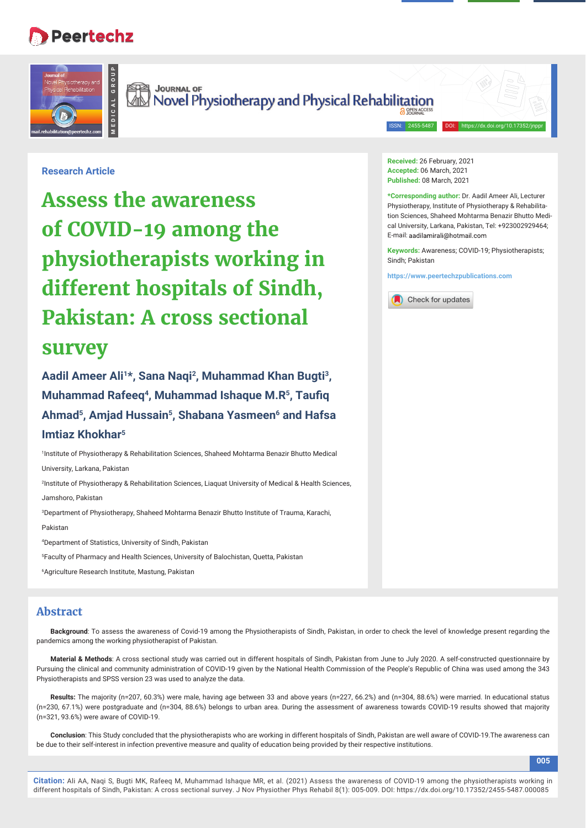## **Peertechz**

**MEDICAL GROUP**



Journal of Journal of Superinter Technology and Physical Rehabilitation

**Research Article**

# **Assess the awareness of COVID-19 among the physiotherapists working in different hospitals of Sindh, Pakistan: A cross sectional survey**

**Aadil Ameer Ali1\*, Sana Naqi2, Muhammad Khan Bugti3, Muhammad Rafeeq<sup>4</sup>, Muhammad Ishaque M.R<sup>5</sup>, Taufiq Ahmad5, Amjad Hussain5, Shabana Yasmeen6 and Hafsa Imtiaz Khokhar5**

1 Institute of Physiotherapy & Rehabilitation Sciences, Shaheed Mohtarma Benazir Bhutto Medical University, Larkana, Pakistan

2 Institute of Physiotherapy & Rehabilitation Sciences, Liaquat University of Medical & Health Sciences, Jamshoro, Pakistan

3 Department of Physiotherapy, Shaheed Mohtarma Benazir Bhutto Institute of Trauma, Karachi,

Pakistan

4 Department of Statistics, University of Sindh, Pakistan

5 Faculty of Pharmacy and Health Sciences, University of Balochistan, Quetta, Pakistan

6 Agriculture Research Institute, Mastung, Pakistan

## **Abstract**

**Background**: To assess the awareness of Covid-19 among the Physiotherapists of Sindh, Pakistan, in order to check the level of knowledge present regarding the pandemics among the working physiotherapist of Pakistan.

**Material & Methods**: A cross sectional study was carried out in different hospitals of Sindh, Pakistan from June to July 2020. A self-constructed questionnaire by Pursuing the clinical and community administration of COVID-19 given by the National Health Commission of the People's Republic of China was used among the 343 Physiotherapists and SPSS version 23 was used to analyze the data.

**Results:** The majority (n=207, 60.3%) were male, having age between 33 and above years (n=227, 66.2%) and (n=304, 88.6%) were married. In educational status (n=230, 67.1%) were postgraduate and (n=304, 88.6%) belongs to urban area. During the assessment of awareness towards COVID-19 results showed that majority (n=321, 93.6%) were aware of COVID-19.

**Conclusion**: This Study concluded that the physiotherapists who are working in different hospitals of Sindh, Pakistan are well aware of COVID-19.The awareness can be due to their self-interest in infection preventive measure and quality of education being provided by their respective institutions.

**Received:** 26 February, 2021 **Accepted:** 06 March, 2021 **Published:** 08 March, 2021

2455-5487

**\*Corresponding author:** Dr. Aadil Ameer Ali, Lecturer Physiotherapy, Institute of Physiotherapy & Rehabilitation Sciences, Shaheed Mohtarma Benazir Bhutto Medical University, Larkana, Pakistan, Tel: +923002929464; E-mail: aadilamirali@hotmail.com

**Keywords:** Awareness; COVID-19; Physiotherapists; Sindh; Pakistan

**https://www.peertechzpublications.com**



**005**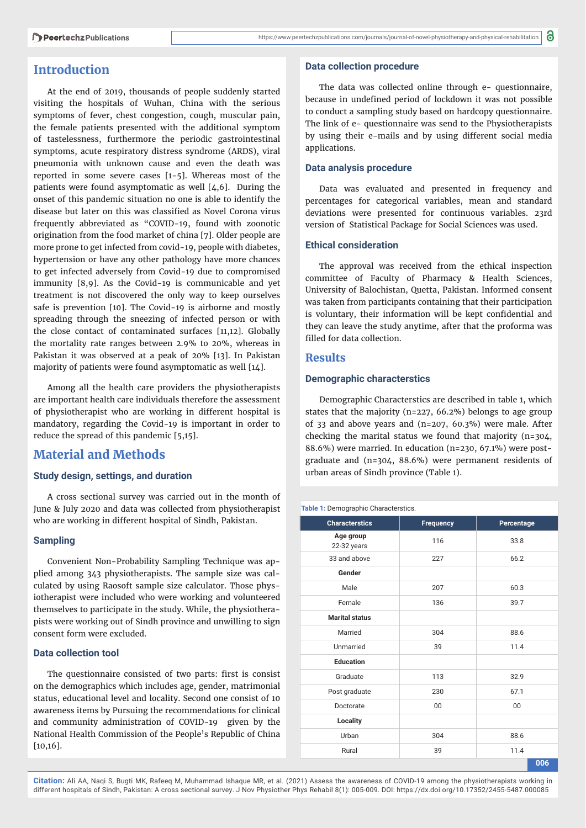## **Introduction**

At the end of 2019, thousands of people suddenly started visiting the hospitals of Wuhan, China with the serious symptoms of fever, chest congestion, cough, muscular pain, the female patients presented with the additional symptom of tastelessness, furthermore the periodic gastrointestinal symptoms, acute respiratory distress syndrome (ARDS), viral pneumonia with unknown cause and even the death was reported in some severe cases [1-5]. Whereas most of the patients were found asymptomatic as well [4,6]. During the onset of this pandemic situation no one is able to identify the disease but later on this was classified as Novel Corona virus frequently abbreviated as "COVID-19, found with zoonotic origination from the food market of china [7]. Older people are more prone to get infected from covid-19, people with diabetes, hypertension or have any other pathology have more chances to get infected adversely from Covid-19 due to compromised immunity [8,9]. As the Covid-19 is communicable and yet treatment is not discovered the only way to keep ourselves safe is prevention [10]. The Covid-19 is airborne and mostly spreading through the sneezing of infected person or with the close contact of contaminated surfaces [11,12]. Globally the mortality rate ranges between 2.9% to 20%, whereas in Pakistan it was observed at a peak of 20% [13]. In Pakistan majority of patients were found asymptomatic as well [14].

Among all the health care providers the physiotherapists are important health care individuals therefore the assessment of physiotherapist who are working in different hospital is mandatory, regarding the Covid-19 is important in order to reduce the spread of this pandemic [5,15].

## **Material and Methods**

#### **Study design, settings, and duration**

A cross sectional survey was carried out in the month of June & July 2020 and data was collected from physiotherapist who are working in different hospital of Sindh, Pakistan.

#### **Sampling**

Convenient Non-Probability Sampling Technique was applied among 343 physiotherapists. The sample size was calculated by using Raosoft sample size calculator. Those physiotherapist were included who were working and volunteered themselves to participate in the study. While, the physiotherapists were working out of Sindh province and unwilling to sign consent form were excluded.

#### **Data collection tool**

The questionnaire consisted of two parts: first is consist on the demographics which includes age, gender, matrimonial status, educational level and locality. Second one consist of 10 awareness items by Pursuing the recommendations for clinical and community administration of COVID-19 given by the National Health Commission of the People's Republic of China [10,16].

#### **Data collection procedure**

The data was collected online through e- questionnaire, because in undefined period of lockdown it was not possible to conduct a sampling study based on hardcopy questionnaire. The link of e- questionnaire was send to the Physiotherapists by using their e-mails and by using different social media applications.

#### **Data analysis procedure**

Data was evaluated and presented in frequency and percentages for categorical variables, mean and standard deviations were presented for continuous variables. 23rd version of Statistical Package for Social Sciences was used.

#### **Ethical consideration**

The approval was received from the ethical inspection committee of Faculty of Pharmacy & Health Sciences, University of Balochistan, Quetta, Pakistan. Informed consent was taken from participants containing that their participation is voluntary, their information will be kept confidential and they can leave the study anytime, after that the proforma was filled for data collection.

#### **Results**

#### **Demographic characterstics**

Demographic Characterstics are described in table 1, which states that the majority (n=227, 66.2%) belongs to age group of 33 and above years and (n=207, 60.3%) were male. After checking the marital status we found that majority (n=304, 88.6%) were married. In education (n=230, 67.1%) were postgraduate and (n=304, 88.6%) were permanent residents of urban areas of Sindh province (Table 1).

#### **Table 1:** Demographic Characterstics.

| <b>Characterstics</b>    | <b>Frequency</b> | Percentage |  |
|--------------------------|------------------|------------|--|
| Age group<br>22-32 years | 116              | 33.8       |  |
| 33 and above             | 227              | 66.2       |  |
| Gender                   |                  |            |  |
| Male                     | 207              | 60.3       |  |
| Female                   | 136              | 39.7       |  |
| <b>Marital status</b>    |                  |            |  |
| Married                  | 304              | 88.6       |  |
| Unmarried                | 39               | 11.4       |  |
| <b>Education</b>         |                  |            |  |
| Graduate                 | 113              | 32.9       |  |
| Post graduate            | 230              | 67.1       |  |
| Doctorate                | 00               | 00         |  |
| Locality                 |                  |            |  |
| Urban                    | 304              | 88.6       |  |
| Rural                    | 39               | 11.4       |  |
|                          |                  | 006        |  |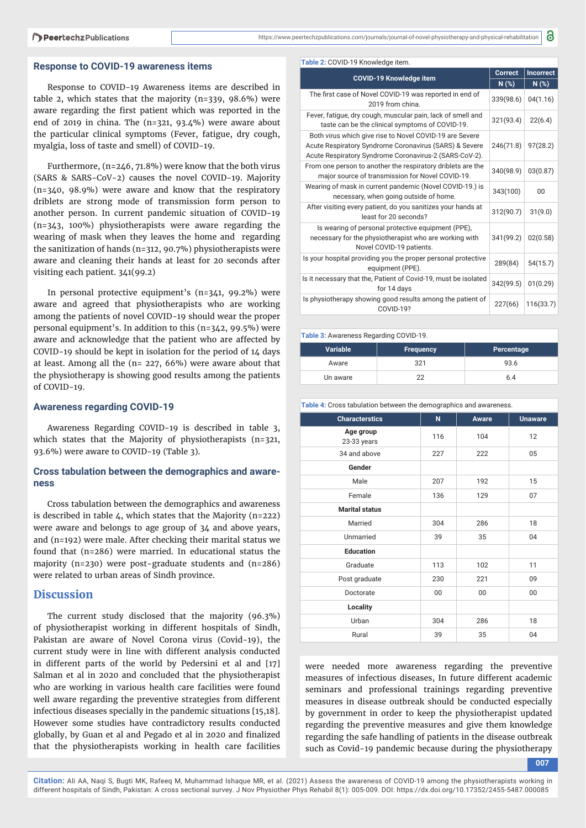#### **Response to COVID-19 awareness items**

Response to COVID-19 Awareness items are described in table 2, which states that the majority (n=339, 98.6%) were aware regarding the first patient which was reported in the end of 2019 in china. The (n=321, 93.4%) were aware about the particular clinical symptoms (Fever, fatigue, dry cough, myalgia, loss of taste and smell) of COVID-19.

Furthermore, (n=246, 71.8%) were know that the both virus (SARS & SARS-CoV-2) causes the novel COVID-19. Majority (n=340, 98.9%) were aware and know that the respiratory driblets are strong mode of transmission form person to another person. In current pandemic situation of COVID-19 (n=343, 100%) physiotherapists were aware regarding the wearing of mask when they leaves the home and regarding the sanitization of hands (n=312, 90.7%) physiotherapists were aware and cleaning their hands at least for 20 seconds after visiting each patient. 341(99.2)

In personal protective equipment's (n=341, 99.2%) were aware and agreed that physiotherapists who are working among the patients of novel COVID-19 should wear the proper personal equipment's. In addition to this (n=342, 99.5%) were aware and acknowledge that the patient who are affected by COVID-19 should be kept in isolation for the period of 14 days at least. Among all the (n= 227, 66%) were aware about that the physiotherapy is showing good results among the patients of COVID-19.

#### **Awareness regarding COVID-19**

Awareness Regarding COVID-19 is described in table 3, which states that the Majority of physiotherapists (n=321, 93.6%) were aware to COVID-19 (Table 3).

#### **Cross tabulation between the demographics and awareness**

Cross tabulation between the demographics and awareness is described in table  $4$ , which states that the Majority (n=222) were aware and belongs to age group of 34 and above years, and (n=192) were male. After checking their marital status we found that (n=286) were married. In educational status the majority (n=230) were post-graduate students and (n=286) were related to urban areas of Sindh province.

### **Discussion**

The current study disclosed that the majority (96.3%) of physiotherapist working in different hospitals of Sindh, Pakistan are aware of Novel Corona virus (Covid-19), the current study were in line with different analysis conducted in different parts of the world by Pedersini et al and [17] Salman et al in 2020 and concluded that the physiotherapist who are working in various health care facilities were found well aware regarding the preventive strategies from different infectious diseases specially in the pandemic situations [15,18]. However some studies have contradictory results conducted globally, by Guan et al and Pegado et al in 2020 and finalized that the physiotherapists working in health care facilities

|                                                                                                                                                                             | <b>Correct</b> | <b>Incorrect</b> |  |
|-----------------------------------------------------------------------------------------------------------------------------------------------------------------------------|----------------|------------------|--|
| <b>COVID-19 Knowledge item</b>                                                                                                                                              | N(%)           | $N(\%)$          |  |
| The first case of Novel COVID-19 was reported in end of<br>2019 from china.                                                                                                 | 339(98.6)      | 04(1.16)         |  |
| Fever, fatigue, dry cough, muscular pain, lack of smell and<br>taste can be the clinical symptoms of COVID-19.                                                              | 321(93.4)      | 22(6.4)          |  |
| Both virus which give rise to Novel COVID-19 are Severe<br>Acute Respiratory Syndrome Coronavirus (SARS) & Severe<br>Acute Respiratory Syndrome Coronavirus-2 (SARS-CoV-2). | 246(71.8)      | 97(28.2)         |  |
| From one person to another the respiratory driblets are the<br>major source of transmission for Novel COVID-19.                                                             | 340(98.9)      | 03(0.87)         |  |
| Wearing of mask in current pandemic (Novel COVID-19.) is<br>necessary, when going outside of home.                                                                          | 343(100)       | 00               |  |
| After visiting every patient, do you sanitizes your hands at<br>least for 20 seconds?                                                                                       | 312(90.7)      | 31(9.0)          |  |
| Is wearing of personal protective equipment (PPE),<br>necessary for the physiotherapist who are working with<br>Novel COVID-19 patients.                                    | 341(99.2)      | 02(0.58)         |  |
| Is your hospital providing you the proper personal protective<br>equipment (PPE).                                                                                           | 289(84)        | 54(15.7)         |  |
| Is it necessary that the, Patient of Covid-19, must be isolated<br>for 14 days                                                                                              | 342(99.5)      | 01(0.29)         |  |
| Is physiotherapy showing good results among the patient of<br>COVID-19?                                                                                                     | 227(66)        | 116(33.7)        |  |

8

**Table 3:** Awareness Regarding COVID-19.

| <b>Variable</b> | <b>Frequency</b> | Percentage |
|-----------------|------------------|------------|
| Aware           | 321              | 93.6       |
| Un aware        |                  | 6.4        |

**Table 4:** Cross tabulation between the demographics and awareness.

| <b>Characterstics</b>    | N   | <b>Aware</b> | <b>Unaware</b> |
|--------------------------|-----|--------------|----------------|
| Age group<br>23-33 years | 116 | 104          | 12             |
| 34 and above             | 227 | 222          | 05             |
| Gender                   |     |              |                |
| Male                     | 207 | 192          | 15             |
| Female                   | 136 | 129          | 07             |
| <b>Marital status</b>    |     |              |                |
| Married                  | 304 | 286          | 18             |
| Unmarried                | 39  | 35           | 04             |
| <b>Education</b>         |     |              |                |
| Graduate                 | 113 | 102          | 11             |
| Post graduate            | 230 | 221          | 09             |
| Doctorate                | 00  | $00\,$       | 00             |
| Locality                 |     |              |                |
| Urban                    | 304 | 286          | 18             |
| Rural                    | 39  | 35           | 04             |

were needed more awareness regarding the preventive measures of infectious diseases, In future different academic seminars and professional trainings regarding preventive measures in disease outbreak should be conducted especially by government in order to keep the physiotherapist updated regarding the preventive measures and give them knowledge regarding the safe handling of patients in the disease outbreak such as Covid-19 pandemic because during the physiotherapy

**<sup>007</sup>**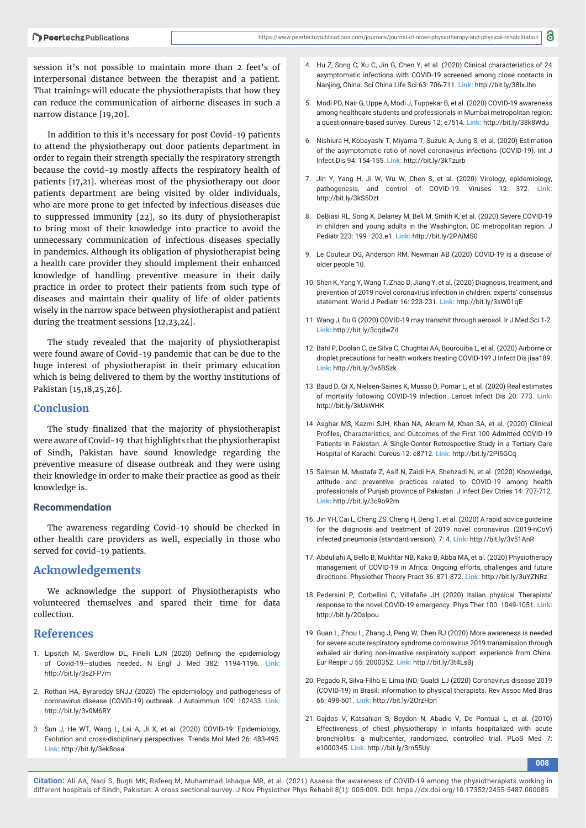session it's not possible to maintain more than 2 feet's of interpersonal distance between the therapist and a patient. That trainings will educate the physiotherapists that how they can reduce the communication of airborne diseases in such a narrow distance [19,20].

In addition to this it's necessary for post Covid-19 patients to attend the physiotherapy out door patients department in order to regain their strength specially the respiratory strength because the covid-19 mostly affects the respiratory health of patients [17,21]. whereas most of the physiotherapy out door patients department are being visited by older individuals, who are more prone to get infected by infectious diseases due to suppressed immunity [22], so its duty of physiotherapist to bring most of their knowledge into practice to avoid the unnecessary communication of infectious diseases specially in pandemics. Although its obligation of physiotherapist being a health care provider they should implement their enhanced knowledge of handling preventive measure in their daily practice in order to protect their patients from such type of diseases and maintain their quality of life of older patients wisely in the narrow space between physiotherapist and patient during the treatment sessions [12,23,24].

The study revealed that the majority of physiotherapist were found aware of Covid-19 pandemic that can be due to the huge interest of physiotherapist in their primary education which is being delivered to them by the worthy institutions of Pakistan [15,18,25,26].

#### **Conclusion**

The study finalized that the majority of physiotherapist were aware of Covid-19 that highlights that the physiotherapist of Sindh, Pakistan have sound knowledge regarding the preventive measure of disease outbreak and they were using their knowledge in order to make their practice as good as their knowledge is.

#### **Recommendation**

The awareness regarding Covid-19 should be checked in other health care providers as well, especially in those who served for covid-19 patients.

#### **Acknowledgements**

We acknowledge the support of Physiotherapists who volunteered themselves and spared their time for data collection.

#### **References**

- 1. Lipsitch M, Swerdlow DL, Finelli LJN (2020) Defining the epidemiology of Covid-19—studies needed. N Engl J Med 382: 1194-1196. **Link:** http://bit.ly/3sZFP7m
- 2. Rothan HA, Byrareddy SNJJ (2020) The epidemiology and pathogenesis of coronavirus disease (COVID-19) outbreak. J Autoimmun 109: 102433. **Link:** http://bit.ly/3v0M6RY
- 3. Sun J, He WT, Wang L, Lai A, Ji X, et al. (2020) COVID-19: Epidemiology, Evolution and cross-disciplinary perspectives. Trends Mol Med 26: 483-495. **Link:** http://bit.ly/3ek8osa
- 4. Hu Z, Song C, Xu C, Jin G, Chen Y, et al. (2020) Clinical characteristics of 24 asymptomatic infections with COVID-19 screened among close contacts in Nanjing, China. Sci China Life Sci 63: 706-711. **Link:** http://bit.ly/38lxJhn
- 5. Modi PD, Nair G, Uppe A, Modi J, Tuppekar B, et al. (2020) COVID-19 awareness among healthcare students and professionals in Mumbai metropolitan region: a questionnaire-based survey. Cureus 12: e7514. **Link:** http://bit.ly/38k8Wdu
- 6. Nishiura H, Kobayashi T, Miyama T, Suzuki A, Jung S, et al. (2020) Estimation of the asymptomatic ratio of novel coronavirus infections (COVID-19). Int J Infect Dis 94: 154-155. **Link:** http://bit.ly/3kTzurb
- 7. Jin Y, Yang H, Ji W, Wu W, Chen S, et al. (2020) Virology, epidemiology, pathogenesis, and control of COVID-19. Viruses 12: 372. **Link:** http://bit.ly/3kS5Dzt
- 8. DeBiasi RL, Song X, Delaney M, Bell M, Smith K, et al. (2020) Severe COVID-19 in children and young adults in the Washington, DC metropolitan region. J Pediatr 223: 199–203.e1. **Link:** http://bit.ly/2PAiMS0
- 9. Le Couteur DG, Anderson RM, Newman AB (2020) COVID-19 is a disease of older people 10.
- 10. Shen K, Yang Y, Wang T, Zhao D, Jiang Y, et al. (2020) Diagnosis, treatment, and prevention of 2019 novel coronavirus infection in children: experts' consensus statement. World J Pediatr 16: 223-231. **Link:** http://bit.ly/3sW01qE
- 11. Wang J, Du G (2020) COVID-19 may transmit through aerosol. Ir J Med Sci 1-2. **Link:** http://bit.ly/3cqdwZd
- 12. Bahl P, Doolan C, de Silva C, Chughtai AA, Bourouiba L, et al. (2020) Airborne or droplet precautions for health workers treating COVID-19? J Infect Dis jiaa189. **Link:** http://bit.ly/3v6BSzk
- 13. Baud D, Qi X, Nielsen-Saines K, Musso D, Pomar L, et al. (2020) Real estimates of mortality following COVID-19 infection. Lancet Infect Dis 20: 773. **Link:** http://bit.ly/3kUkWHK
- 14. Asghar MS, Kazmi SJH, Khan NA, Akram M, Khan SA, et al. (2020) Clinical Profiles, Characteristics, and Outcomes of the First 100 Admitted COVID-19 Patients in Pakistan: A Single-Center Retrospective Study in a Tertiary Care Hospital of Karachi. Cureus 12: e8712. **Link:** http://bit.ly/2PI5GCq
- 15. Salman M, Mustafa Z, Asif N, Zaidi HA, Shehzadi N, et al. (2020) Knowledge, attitude and preventive practices related to COVID-19 among health professionals of Punjab province of Pakistan. J Infect Dev Ctries 14: 707-712. **Link:** http://bit.ly/3c9o92m
- 16. Jin YH, Cai L, Cheng ZS, Cheng H, Deng T, et al. (2020) A rapid advice guideline for the diagnosis and treatment of 2019 novel coronavirus (2019-nCoV) infected pneumonia (standard version). 7: 4. **Link:** http://bit.ly/3v51AnR
- 17. Abdullahi A, Bello B, Mukhtar NB, Kaka B, Abba MA, et al. (2020) Physiotherapy management of COVID-19 in Africa: Ongoing efforts, challenges and future directions. Physiother Theory Pract 36: 871-872. **Link:** http://bit.ly/3uYZNRz
- 18. Pedersini P, Corbellini C, Villafañe JH (2020) Italian physical Therapists' response to the novel COVID-19 emergency. Phys Ther 100: 1049-1051. **Link:** http://bit.ly/2Oslpou
- 19. Guan L, Zhou L, Zhang J, Peng W, Chen RJ (2020) More awareness is needed for severe acute respiratory syndrome coronavirus 2019 transmission through exhaled air during non-invasive respiratory support: experience from China. Eur Respir J 55: 2000352. **Link:** http://bit.ly/3t4LsBj
- 20. Pegado R, Silva-Filho E, Lima IND, Gualdi LJ (2020) Coronavirus disease 2019 (COVID-19) in Brasil: information to physical therapists. Rev Assoc Med Bras 66: 498-501. **Link:** http://bit.ly/2OrzHpn
- 21. Gajdos V, Katsahian S, Beydon N, Abadie V, De Pontual L, et al. (2010) Effectiveness of chest physiotherapy in infants hospitalized with acute bronchiolitis: a multicenter, randomized, controlled trial. PLoS Med 7: e1000345. **Link:** http://bit.ly/3rn55Uy

**008**